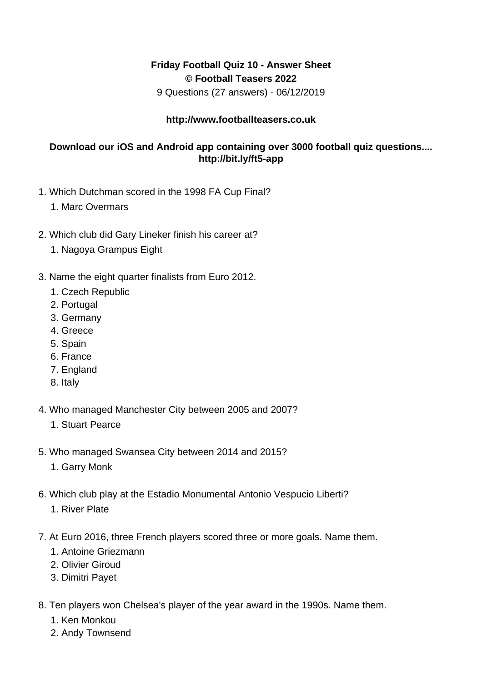## **Friday Football Quiz 10 - Answer Sheet © Football Teasers 2022**

9 Questions (27 answers) - 06/12/2019

## **http://www.footballteasers.co.uk**

## **Download our iOS and Android app containing over 3000 football quiz questions.... http://bit.ly/ft5-app**

- 1. Which Dutchman scored in the 1998 FA Cup Final?
	- 1. Marc Overmars
- 2. Which club did Gary Lineker finish his career at?
	- 1. Nagoya Grampus Eight
- 3. Name the eight quarter finalists from Euro 2012.
	- 1. Czech Republic
	- 2. Portugal
	- 3. Germany
	- 4. Greece
	- 5. Spain
	- 6. France
	- 7. England
	- 8. Italy
- 4. Who managed Manchester City between 2005 and 2007?
	- 1. Stuart Pearce
- 5. Who managed Swansea City between 2014 and 2015?
	- 1. Garry Monk
- 6. Which club play at the Estadio Monumental Antonio Vespucio Liberti?
	- 1. River Plate
- 7. At Euro 2016, three French players scored three or more goals. Name them.
	- 1. Antoine Griezmann
	- 2. Olivier Giroud
	- 3. Dimitri Payet
- 8. Ten players won Chelsea's player of the year award in the 1990s. Name them.
	- 1. Ken Monkou
	- 2. Andy Townsend